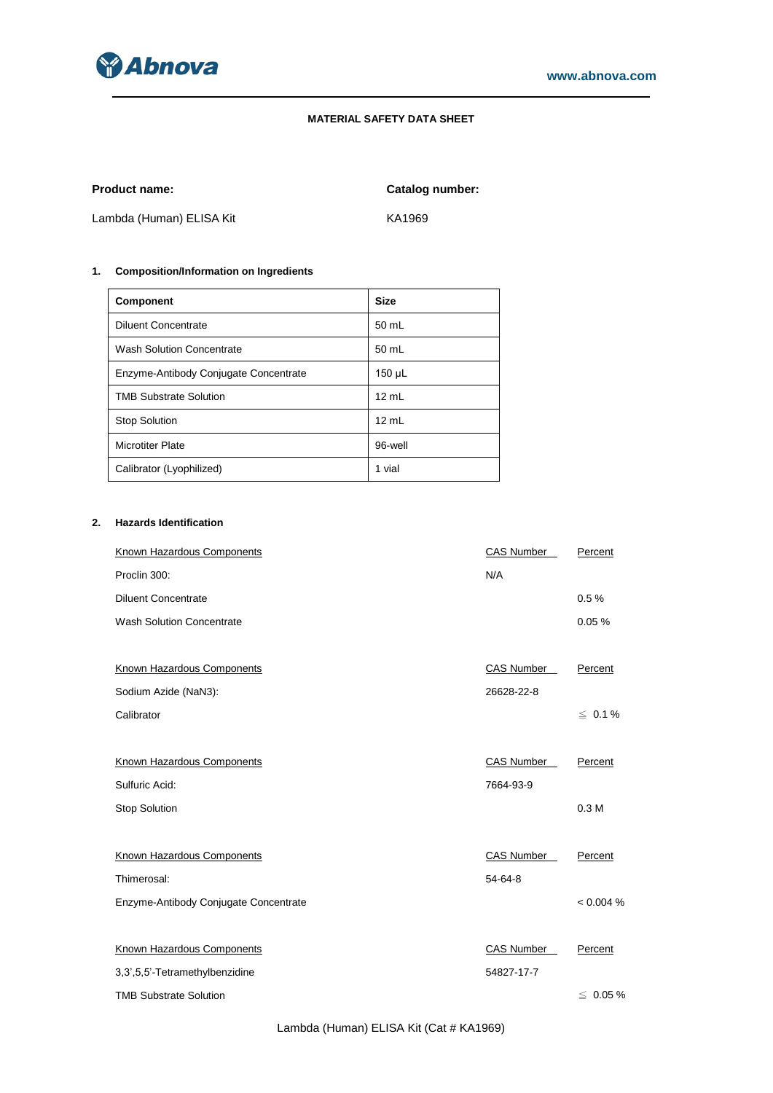

# **MATERIAL SAFETY DATA SHEET**

**Product name: Catalog number:**

Lambda (Human) ELISA Kit KA1969

# **1. Composition/Information on Ingredients**

| <b>Component</b>                      | <b>Size</b>     |
|---------------------------------------|-----------------|
| <b>Diluent Concentrate</b>            | 50 mL           |
| <b>Wash Solution Concentrate</b>      | 50 mL           |
| Enzyme-Antibody Conjugate Concentrate | 150 µL          |
| <b>TMB Substrate Solution</b>         | $12 \text{ ml}$ |
| <b>Stop Solution</b>                  | 12 mL           |
| <b>Microtiter Plate</b>               | 96-well         |
| Calibrator (Lyophilized)              | 1 vial          |

# **2. Hazards Identification**

| <b>Known Hazardous Components</b>     | <b>CAS Number</b> | Percent          |
|---------------------------------------|-------------------|------------------|
| Proclin 300:                          | N/A               |                  |
| <b>Diluent Concentrate</b>            |                   | 0.5%             |
| <b>Wash Solution Concentrate</b>      |                   | 0.05%            |
|                                       |                   |                  |
| Known Hazardous Components            | <b>CAS Number</b> | Percent          |
| Sodium Azide (NaN3):                  | 26628-22-8        |                  |
| Calibrator                            |                   | $\leq 0.1 \%$    |
|                                       |                   |                  |
| Known Hazardous Components            | CAS Number        | Percent          |
| Sulfuric Acid:                        | 7664-93-9         |                  |
| <b>Stop Solution</b>                  |                   | 0.3 <sub>M</sub> |
|                                       |                   |                  |
| Known Hazardous Components            | CAS Number        | Percent          |
| Thimerosal:                           | 54-64-8           |                  |
| Enzyme-Antibody Conjugate Concentrate |                   | < 0.004 %        |
|                                       |                   |                  |
| Known Hazardous Components            | CAS Number        | Percent          |
| 3,3',5,5'-Tetramethylbenzidine        | 54827-17-7        |                  |
| <b>TMB Substrate Solution</b>         |                   | $\leq 0.05 \%$   |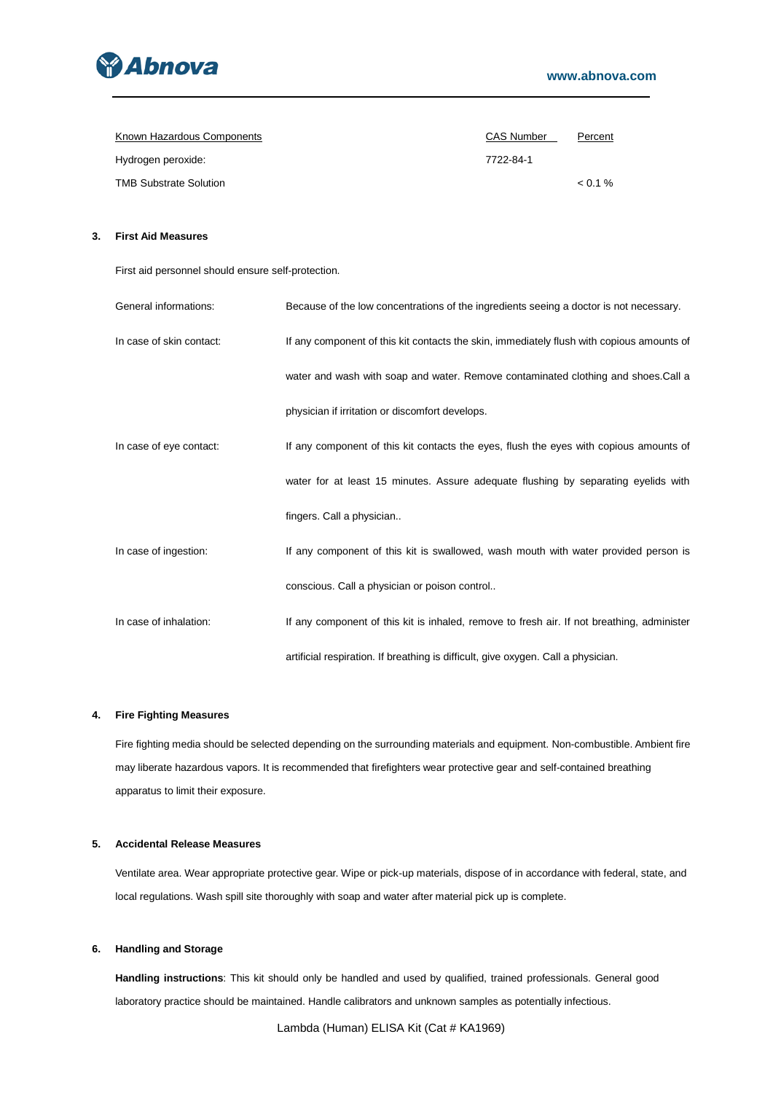

| Known Hazardous Components    | <b>CAS Number</b> | Percent |
|-------------------------------|-------------------|---------|
| Hydrogen peroxide:            | 7722-84-1         |         |
| <b>TMB Substrate Solution</b> |                   | $0.1\%$ |

# **3. First Aid Measures**

First aid personnel should ensure self-protection.

| General informations:    | Because of the low concentrations of the ingredients seeing a doctor is not necessary.     |
|--------------------------|--------------------------------------------------------------------------------------------|
| In case of skin contact: | If any component of this kit contacts the skin, immediately flush with copious amounts of  |
|                          | water and wash with soap and water. Remove contaminated clothing and shoes. Call a         |
|                          | physician if irritation or discomfort develops.                                            |
| In case of eye contact:  | If any component of this kit contacts the eyes, flush the eyes with copious amounts of     |
|                          | water for at least 15 minutes. Assure adequate flushing by separating eyelids with         |
|                          | fingers. Call a physician                                                                  |
| In case of ingestion:    | If any component of this kit is swallowed, wash mouth with water provided person is        |
|                          | conscious. Call a physician or poison control                                              |
| In case of inhalation:   | If any component of this kit is inhaled, remove to fresh air. If not breathing, administer |
|                          | artificial respiration. If breathing is difficult, give oxygen. Call a physician.          |

## **4. Fire Fighting Measures**

Fire fighting media should be selected depending on the surrounding materials and equipment. Non-combustible. Ambient fire may liberate hazardous vapors. It is recommended that firefighters wear protective gear and self-contained breathing apparatus to limit their exposure.

## **5. Accidental Release Measures**

Ventilate area. Wear appropriate protective gear. Wipe or pick-up materials, dispose of in accordance with federal, state, and local regulations. Wash spill site thoroughly with soap and water after material pick up is complete.

### **6. Handling and Storage**

**Handling instructions**: This kit should only be handled and used by qualified, trained professionals. General good laboratory practice should be maintained. Handle calibrators and unknown samples as potentially infectious.

Lambda (Human) ELISA Kit (Cat # KA1969)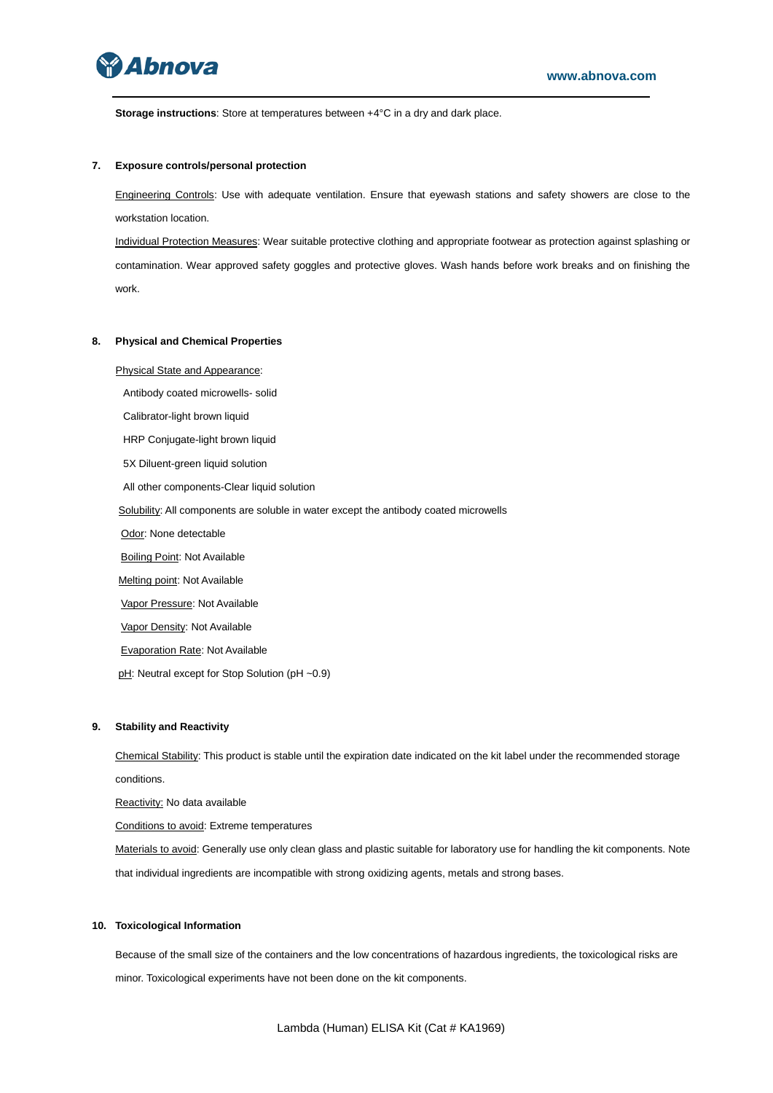

**Storage instructions**: Store at temperatures between +4°C in a dry and dark place.

### **7. Exposure controls/personal protection**

Engineering Controls: Use with adequate ventilation. Ensure that eyewash stations and safety showers are close to the workstation location.

Individual Protection Measures: Wear suitable protective clothing and appropriate footwear as protection against splashing or contamination. Wear approved safety goggles and protective gloves. Wash hands before work breaks and on finishing the work.

#### **8. Physical and Chemical Properties**

Physical State and Appearance:

Antibody coated microwells- solid

Calibrator-light brown liquid

HRP Conjugate-light brown liquid

5X Diluent-green liquid solution

All other components-Clear liquid solution

Solubility: All components are soluble in water except the antibody coated microwells

Odor: None detectable

**Boiling Point: Not Available** 

Melting point: Not Available

Vapor Pressure: Not Available

Vapor Density: Not Available

Evaporation Rate: Not Available

pH: Neutral except for Stop Solution (pH ~0.9)

### **9. Stability and Reactivity**

Chemical Stability: This product is stable until the expiration date indicated on the kit label under the recommended storage conditions.

Reactivity: No data available

Conditions to avoid: Extreme temperatures

Materials to avoid: Generally use only clean glass and plastic suitable for laboratory use for handling the kit components. Note that individual ingredients are incompatible with strong oxidizing agents, metals and strong bases.

#### **10. Toxicological Information**

Because of the small size of the containers and the low concentrations of hazardous ingredients, the toxicological risks are minor. Toxicological experiments have not been done on the kit components.